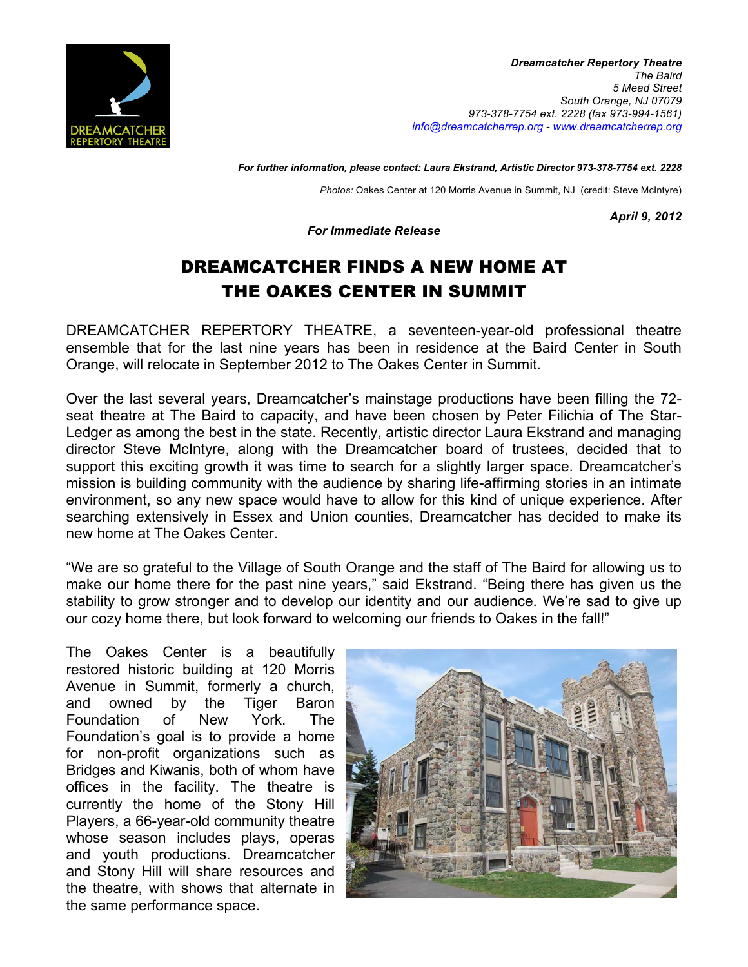

*For further information, please contact: Laura Ekstrand, Artistic Director 973-378-7754 ext. 2228*

*Photos:* Oakes Center at 120 Morris Avenue in Summit, NJ (credit: Steve McIntyre)

*April 9, 2012*

*For Immediate Release*

## DREAMCATCHER FINDS A NEW HOME AT THE OAKES CENTER IN SUMMIT

DREAMCATCHER REPERTORY THEATRE, a seventeen-year-old professional theatre ensemble that for the last nine years has been in residence at the Baird Center in South Orange, will relocate in September 2012 to The Oakes Center in Summit.

Over the last several years, Dreamcatcher's mainstage productions have been filling the 72 seat theatre at The Baird to capacity, and have been chosen by Peter Filichia of The Star-Ledger as among the best in the state. Recently, artistic director Laura Ekstrand and managing director Steve McIntyre, along with the Dreamcatcher board of trustees, decided that to support this exciting growth it was time to search for a slightly larger space. Dreamcatcher's mission is building community with the audience by sharing life-affirming stories in an intimate environment, so any new space would have to allow for this kind of unique experience. After searching extensively in Essex and Union counties, Dreamcatcher has decided to make its new home at The Oakes Center.

"We are so grateful to the Village of South Orange and the staff of The Baird for allowing us to make our home there for the past nine years," said Ekstrand. "Being there has given us the stability to grow stronger and to develop our identity and our audience. We're sad to give up our cozy home there, but look forward to welcoming our friends to Oakes in the fall!"

The Oakes Center is a beautifully restored historic building at 120 Morris Avenue in Summit, formerly a church, and owned by the Tiger Baron Foundation of New York. The Foundation's goal is to provide a home for non-profit organizations such as Bridges and Kiwanis, both of whom have offices in the facility. The theatre is currently the home of the Stony Hill Players, a 66-year-old community theatre whose season includes plays, operas and youth productions. Dreamcatcher and Stony Hill will share resources and the theatre, with shows that alternate in the same performance space.